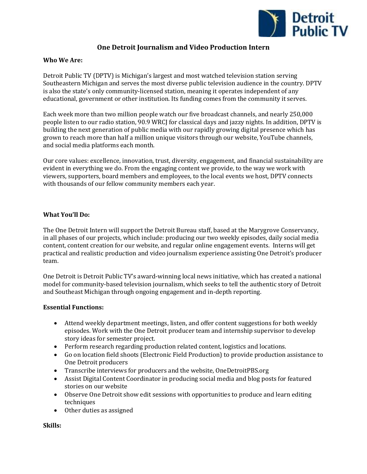

# **One Detroit Journalism and Video Production Intern**

## **Who We Are:**

Detroit Public TV (DPTV) is Michigan's largest and most watched television station serving Southeastern Michigan and serves the most diverse public television audience in the country. DPTV is also the state's only community-licensed station, meaning it operates independent of any educational, government or other institution. Its funding comes from the community it serves.

Each week more than two million people watch our five broadcast channels, and nearly 250,000 people listen to our radio station, 90.9 WRCJ for classical days and jazzy nights. In addition, DPTV is building the next generation of public media with our rapidly growing digital presence which has grown to reach more than half a million unique visitors through our website, YouTube channels, and social media platforms each month.

Our core values: excellence, innovation, trust, diversity, engagement, and financial sustainability are evident in everything we do. From the engaging content we provide, to the way we work with viewers, supporters, board members and employees, to the local events we host, DPTV connects with thousands of our fellow community members each year.

## **What You'll Do:**

The One Detroit Intern will support the Detroit Bureau staff, based at the Marygrove Conservancy, in all phases of our projects, which include: producing our two weekly episodes, daily social media content, content creation for our website, and regular online engagement events. Interns will get practical and realistic production and video journalism experience assisting One Detroit's producer team.

One Detroit is Detroit Public TV's award-winning local news initiative, which has created a national model for community-based television journalism, which seeks to tell the authentic story of Detroit and Southeast Michigan through ongoing engagement and in-depth reporting.

### **Essential Functions:**

- Attend weekly department meetings, listen, and offer content suggestions for both weekly episodes. Work with the One Detroit producer team and internship supervisor to develop story ideas for semester project.
- Perform research regarding production related content, logistics and locations.
- Go on location field shoots (Electronic Field Production) to provide production assistance to One Detroit producers
- Transcribe interviews for producers and the website, OneDetroitPBS.org
- Assist Digital Content Coordinator in producing social media and blog posts for featured stories on our website
- Observe One Detroit show edit sessions with opportunities to produce and learn editing techniques
- Other duties as assigned

**Skills:**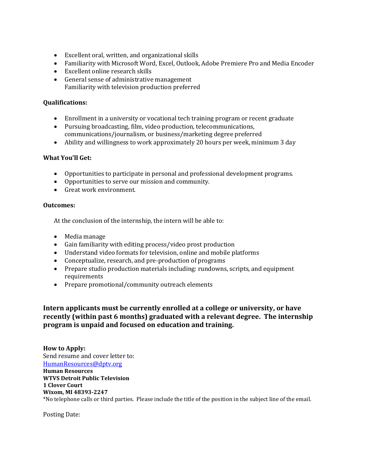- Excellent oral, written, and organizational skills
- Familiarity with Microsoft Word, Excel, Outlook, Adobe Premiere Pro and Media Encoder
- Excellent online research skills
- General sense of administrative management Familiarity with television production preferred

# **Qualifications:**

- Enrollment in a university or vocational tech training program or recent graduate
- Pursuing broadcasting, film, video production, telecommunications, communications/journalism, or business/marketing degree preferred
- Ability and willingness to work approximately 20 hours per week, minimum 3 day

## **What You'll Get:**

- Opportunities to participate in personal and professional development programs.
- Opportunities to serve our mission and community.
- Great work environment.

### **Outcomes:**

At the conclusion of the internship, the intern will be able to:

- Media manage
- Gain familiarity with editing process/video prost production
- Understand video formats for television, online and mobile platforms
- Conceptualize, research, and pre-production of programs
- Prepare studio production materials including: rundowns, scripts, and equipment requirements
- Prepare promotional/community outreach elements

# **Intern applicants must be currently enrolled at a college or university, or have recently (within past 6 months) graduated with a relevant degree. The internship program is unpaid and focused on education and training.**

**How to Apply:** Send resume and cover letter to: [HumanResources@dptv.org](mailto:HumanResources@dptv.org) **Human Resources WTVS Detroit Public Television 1 Clover Court Wixom, MI 48393-2247** \*No telephone calls or third parties. Please include the title of the position in the subject line of the email.

Posting Date: